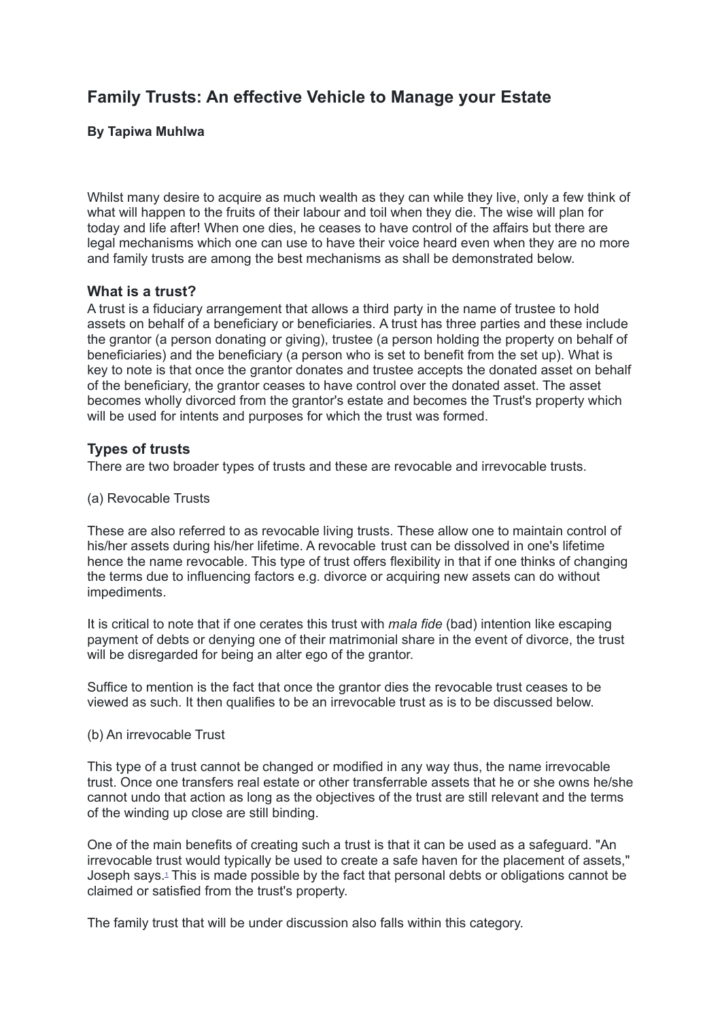# **Family Trusts: An effective Vehicle to Manage your Estate**

## **By Tapiwa Muhlwa**

Whilst many desire to acquire as much wealth as they can while they live, only a few think of what will happen to the fruits of their labour and toil when they die. The wise will plan for today and life after! When one dies, he ceases to have control of the affairs but there are legal mechanisms which one can use to have their voice heard even when they are no more and family trusts are among the best mechanisms as shall be demonstrated below.

## **What is a trust?**

A trust is a fiduciary arrangement that allows a third party in the name of trustee to hold assets on behalf of a beneficiary or beneficiaries. A trust has three parties and these include the grantor (a person donating or giving), trustee (a person holding the property on behalf of beneficiaries) and the beneficiary (a person who is set to benefit from the set up). What is key to note is that once the grantor donates and trustee accepts the donated asset on behalf of the beneficiary, the grantor ceases to have control over the donated asset. The asset becomes wholly divorced from the grantor's estate and becomes the Trust's property which will be used for intents and purposes for which the trust was formed.

## **Types of trusts**

There are two broader types of trusts and these are revocable and irrevocable trusts.

(a) Revocable Trusts

These are also referred to as revocable living trusts. These allow one to maintain control of his/her assets during his/her lifetime. A revocable trust can be dissolved in one's lifetime hence the name revocable. This type of trust offers flexibility in that if one thinks of changing the terms due to influencing factors e.g. divorce or acquiring new assets can do without impediments.

It is critical to note that if one cerates this trust with *mala fide* (bad) intention like escaping payment of debts or denying one of their matrimonial share in the event of divorce, the trust will be disregarded for being an alter ego of the grantor.

Suffice to mention is the fact that once the grantor dies the revocable trust ceases to be viewed as such. It then qualifies to be an irrevocable trust as is to be discussed below.

### (b) An irrevocable Trust

This type of a trust cannot be changed or modified in any way thus, the name irrevocable trust. Once one transfers real estate or other transferrable assets that he or she owns he/she cannot undo that action as long as the objectives of the trust are still relevant and the terms of the winding up close are still binding.

One of the main benefits of creating such a trust is that it can be used as a safeguard. "An irrevocable trust would typically be used to create a safe haven for the placement of assets," Joseph says. [1](https://www.mondaq.com/wills-intestacy-estate-planning/903488/family-trusts-an-effective-vehicle-to-managing-your-estate#_ftn1) This is made possible by the fact that personal debts or obligations cannot be claimed or satisfied from the trust's property.

The family trust that will be under discussion also falls within this category.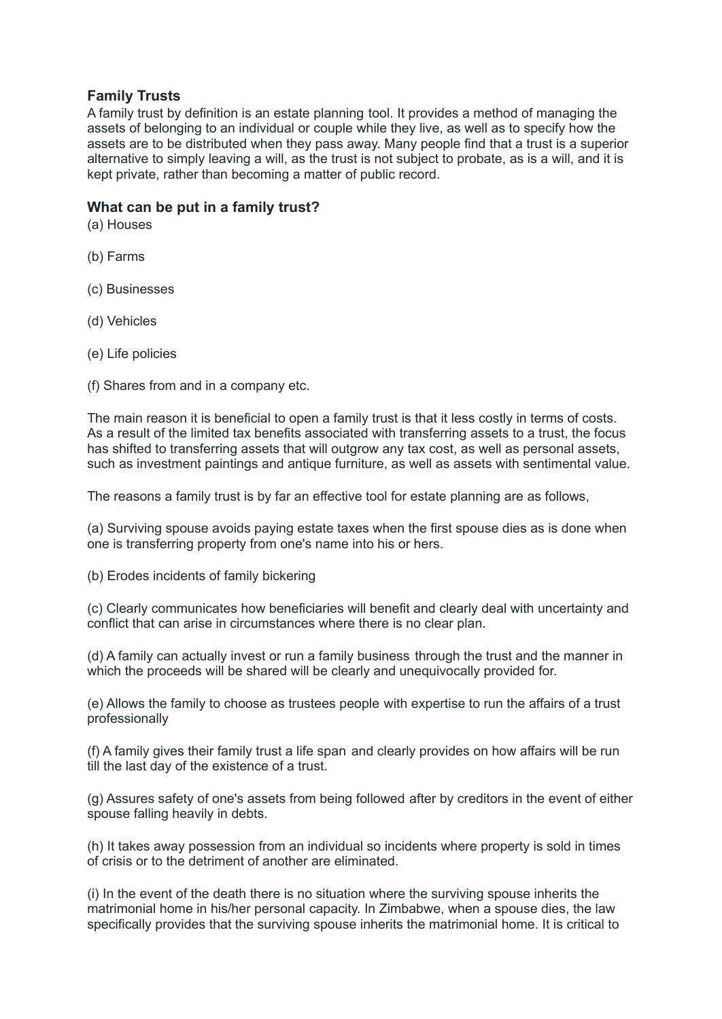## **Family Trusts**

A family trust by definition is an estate planning tool. It provides a method of managing the assets of belonging to an individual or couple while they live, as well as to specify how the assets are to be distributed when they pass away. Many people find that a trust is a superior alternative to simply leaving a will, as the trust is not subject to probate, as is a will, and it is kept private, rather than becoming a matter of public record.

## **What can be put in a family trust?**

(a) Houses

- (b) Farms
- (c) Businesses
- (d) Vehicles
- (e) Life policies

(f) Shares from and in a company etc.

The main reason it is beneficial to open a family trust is that it less costly in terms of costs. As a result of the limited tax benefits associated with transferring assets to a trust, the focus has shifted to transferring assets that will outgrow any tax cost, as well as personal assets, such as investment paintings and antique furniture, as well as assets with sentimental value.

The reasons a family trust is by far an effective tool for estate planning are as follows,

(a) Surviving spouse avoids paying estate taxes when the first spouse dies as is done when one is transferring property from one's name into his or hers.

(b) Erodes incidents of family bickering

(c) Clearly communicates how beneficiaries will benefit and clearly deal with uncertainty and conflict that can arise in circumstances where there is no clear plan.

(d) A family can actually invest or run a family business through the trust and the manner in which the proceeds will be shared will be clearly and unequivocally provided for.

(e) Allows the family to choose as trustees people with expertise to run the affairs of a trust professionally

(f) A family gives their family trust a life span and clearly provides on how affairs will be run till the last day of the existence of a trust.

(g) Assures safety of one's assets from being followed after by creditors in the event of either spouse falling heavily in debts.

(h) It takes away possession from an individual so incidents where property is sold in times of crisis or to the detriment of another are eliminated.

(i) In the event of the death there is no situation where the surviving spouse inherits the matrimonial home in his/her personal capacity. In Zimbabwe, when a spouse dies, the law specifically provides that the surviving spouse inherits the matrimonial home. It is critical to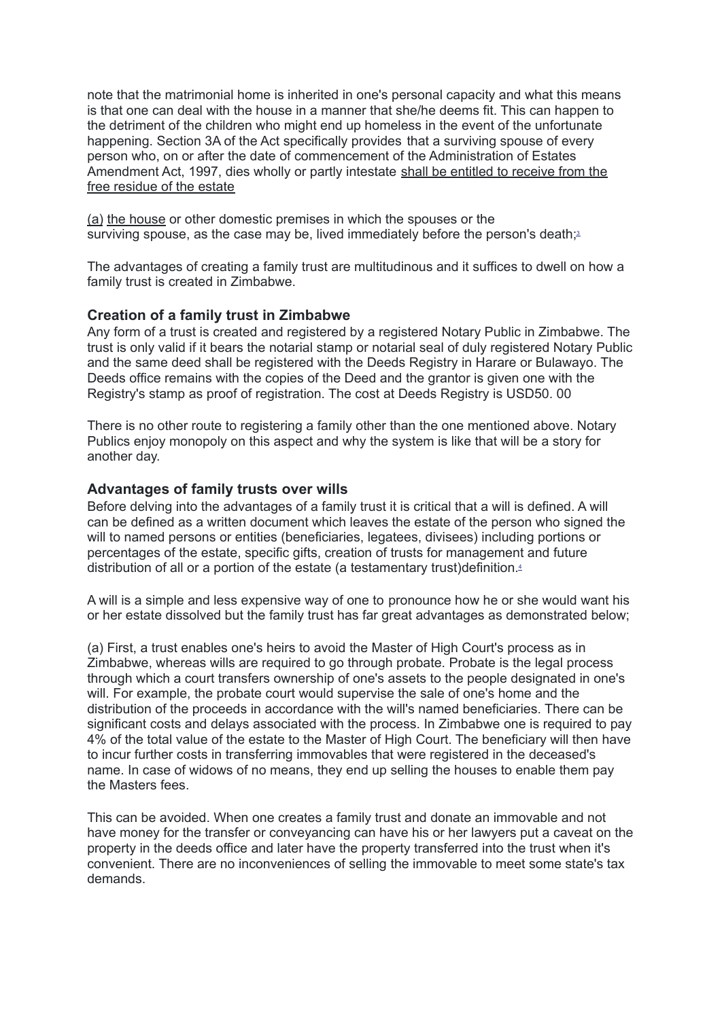note that the matrimonial home is inherited in one's personal capacity and what this means is that one can deal with the house in a manner that she/he deems fit. This can happen to the detriment of the children who might end up homeless in the event of the unfortunate happening. Section 3A of the Act specifically provides that a surviving spouse of every person who, on or after the date of commencement of the Administration of Estates Amendment Act, 1997, dies wholly or partly intestate shall be entitled to receive from the free residue of the estate

(a) the house or other domestic premises in which the spouses or the surviving spouse, as the case may be, lived immediately before the person's death;<sup>[3](https://www.mondaq.com/wills-intestacy-estate-planning/903488/family-trusts-an-effective-vehicle-to-managing-your-estate#_ftn3)</sup>

The advantages of creating a family trust are multitudinous and it suffices to dwell on how a family trust is created in Zimbabwe.

### **Creation of a family trust in Zimbabwe**

Any form of a trust is created and registered by a registered Notary Public in Zimbabwe. The trust is only valid if it bears the notarial stamp or notarial seal of duly registered Notary Public and the same deed shall be registered with the Deeds Registry in Harare or Bulawayo. The Deeds office remains with the copies of the Deed and the grantor is given one with the Registry's stamp as proof of registration. The cost at Deeds Registry is USD50. 00

There is no other route to registering a family other than the one mentioned above. Notary Publics enjoy monopoly on this aspect and why the system is like that will be a story for another day.

#### **Advantages of family trusts over wills**

Before delving into the advantages of a family trust it is critical that a will is defined. A will can be defined as a written document which leaves the estate of the person who signed the will to named persons or entities (beneficiaries, legatees, divisees) including portions or percentages of the estate, specific gifts, creation of trusts for management and future distribution of all or a portion of the estate (a testamentary trust)definition. [4](https://www.mondaq.com/wills-intestacy-estate-planning/903488/family-trusts-an-effective-vehicle-to-managing-your-estate#_ftn4)

A will is a simple and less expensive way of one to pronounce how he or she would want his or her estate dissolved but the family trust has far great advantages as demonstrated below;

(a) First, a trust enables one's heirs to avoid the Master of High Court's process as in Zimbabwe, whereas wills are required to go through probate. Probate is the legal process through which a court transfers ownership of one's assets to the people designated in one's will. For example, the probate court would supervise the sale of one's home and the distribution of the proceeds in accordance with the will's named beneficiaries. There can be significant costs and delays associated with the process. In Zimbabwe one is required to pay 4% of the total value of the estate to the Master of High Court. The beneficiary will then have to incur further costs in transferring immovables that were registered in the deceased's name. In case of widows of no means, they end up selling the houses to enable them pay the Masters fees.

This can be avoided. When one creates a family trust and donate an immovable and not have money for the transfer or conveyancing can have his or her lawyers put a caveat on the property in the deeds office and later have the property transferred into the trust when it's convenient. There are no inconveniences of selling the immovable to meet some state's tax demands.